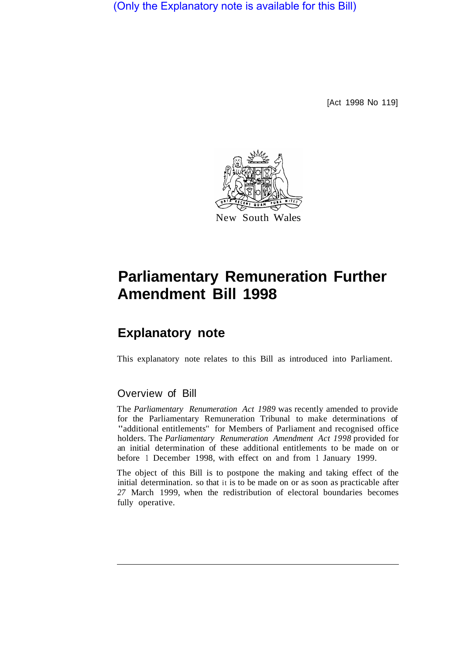(Only the Explanatory note is available for this Bill)

[Act 1998 No 119]



## **Parliamentary Remuneration Further Amendment Bill 1998**

## **Explanatory note**

This explanatory note relates to this Bill as introduced into Parliament.

## Overview of Bill

The *Parliamentary Renumeration Act 1989* was recently amended to provide for the Parliamentary Remuneration Tribunal to make determinations of "additional entitlements'' for Members of Parliament and recognised office holders. The *Parliamentary Renumeration Amendment Act 1998* provided for an initial determination of these additional entitlements to be made on or before 1 December 1998, with effect on and from 1 January 1999.

The object of this Bill is to postpone the making and taking effect of the initial determination. so that it is to be made on or as soon as practicable after *27* March 1999, when the redistribution of electoral boundaries becomes fully operative.